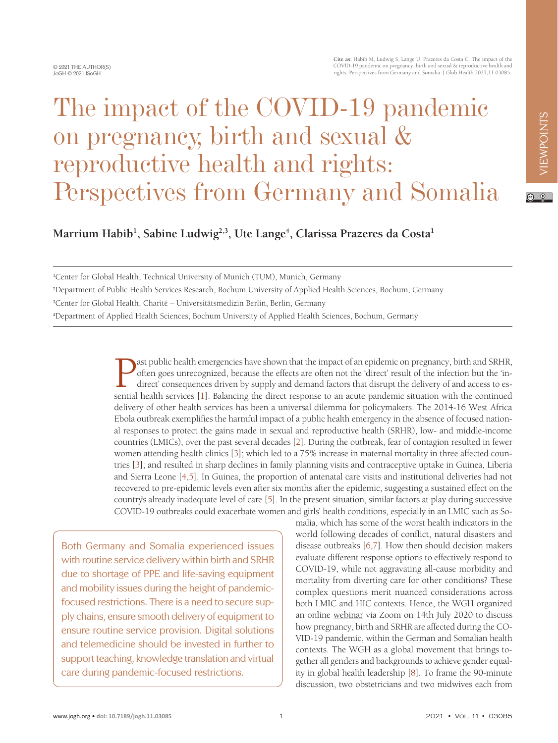# The impact of the COVID-19 pandemic on pregnancy, birth and sexual & reproductive health and rights: Perspectives from Germany and Somalia

 $\boxed{6}$  0

Marrium Habib<sup>1</sup>, Sabine Ludwig<sup>2,3</sup>, Ute Lange<sup>4</sup>, Clarissa Prazeres da Costa<sup>1</sup>

1 Center for Global Health, Technical University of Munich (TUM), Munich, Germany

2 Department of Public Health Services Research, Bochum University of Applied Health Sciences, Bochum, Germany

3 Center for Global Health, Charité – Universitätsmedizin Berlin, Berlin, Germany

4 Department of Applied Health Sciences, Bochum University of Applied Health Sciences, Bochum, Germany

**Example 15** ast public health emergencies have shown that the impact of an epidemic on pregnancy, birth and SRHR, of the infection but the 'indirect' consequences driven by supply and demand factors that disrupt the deliv often goes unrecognized, because the effects are often not the 'direct' result of the infection but the 'indirect' consequences driven by supply and demand factors that disrupt the delivery of and access to essential health services [[1\]](#page-3-0). Balancing the direct response to an acute pandemic situation with the continued delivery of other health services has been a universal dilemma for policymakers. The 2014-16 West Africa Ebola outbreak exemplifies the harmful impact of a public health emergency in the absence of focused national responses to protect the gains made in sexual and reproductive health (SRHR), low- and middle-income countries (LMICs), over the past several decades [\[2\]](#page-3-1). During the outbreak, fear of contagion resulted in fewer women attending health clinics [[3\]](#page-3-2); which led to a 75% increase in maternal mortality in three affected countries [\[3](#page-3-2)]; and resulted in sharp declines in family planning visits and contraceptive uptake in Guinea, Liberia and Sierra Leone [\[4](#page-3-3),[5\]](#page-3-4). In Guinea, the proportion of antenatal care visits and institutional deliveries had not recovered to pre-epidemic levels even after six months after the epidemic, suggesting a sustained effect on the country's already inadequate level of care [[5\]](#page-3-4). In the present situation, similar factors at play during successive COVID-19 outbreaks could exacerbate women and girls' health conditions, especially in an LMIC such as So-

Both Germany and Somalia experienced issues with routine service delivery within birth and SRHR due to shortage of PPE and life-saving equipment and mobility issues during the height of pandemicfocused restrictions. There is a need to secure supply chains, ensure smooth delivery of equipment to ensure routine service provision. Digital solutions and telemedicine should be invested in further to support teaching, knowledge translation and virtual care during pandemic-focused restrictions.

malia, which has some of the worst health indicators in the world following decades of conflict, natural disasters and disease outbreaks [[6,](#page-3-5)[7](#page-3-6)]. How then should decision makers evaluate different response options to effectively respond to COVID-19, while not aggravating all-cause morbidity and mortality from diverting care for other conditions? These complex questions merit nuanced considerations across both LMIC and HIC contexts. Hence, the WGH organized an online [webinar](https://globalhealth.charite.de/en/network/women_in_global_health_germany/) via Zoom on 14th July 2020 to discuss how pregnancy, birth and SRHR are affected during the CO-VID-19 pandemic, within the German and Somalian health contexts. The WGH as a global movement that brings together all genders and backgrounds to achieve gender equality in global health leadership [[8\]](#page-3-7). To frame the 90-minute discussion, two obstetricians and two midwives each from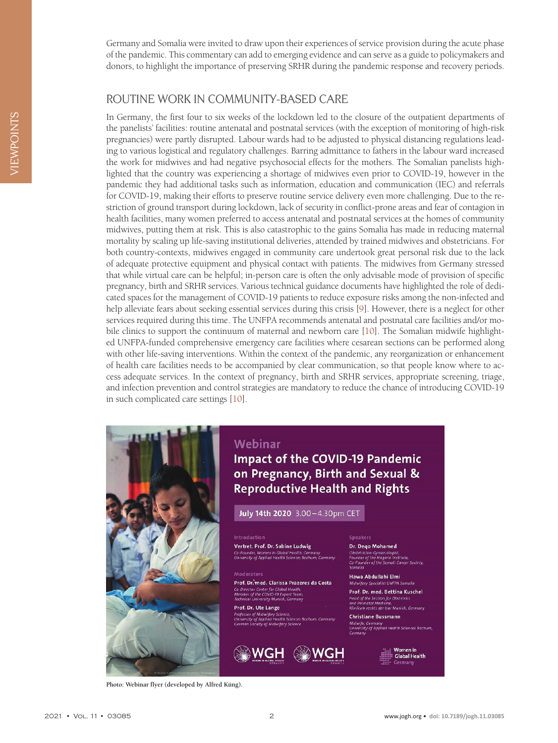Germany and Somalia were invited to draw upon their experiences of service provision during the acute phase of the pandemic. This commentary can add to emerging evidence and can serve as a guide to policymakers and donors, to highlight the importance of preserving SRHR during the pandemic response and recovery periods.

# ROUTINE WORK IN COMMUNITY-BASED CARE

In Germany, the first four to six weeks of the lockdown led to the closure of the outpatient departments of the panelists' facilities: routine antenatal and postnatal services (with the exception of monitoring of high-risk pregnancies) were partly disrupted. Labour wards had to be adjusted to physical distancing regulations leading to various logistical and regulatory challenges. Barring admittance to fathers in the labour ward increased the work for midwives and had negative psychosocial effects for the mothers. The Somalian panelists highlighted that the country was experiencing a shortage of midwives even prior to COVID-19, however in the pandemic they had additional tasks such as information, education and communication (IEC) and referrals for COVID-19, making their efforts to preserve routine service delivery even more challenging. Due to the restriction of ground transport during lockdown, lack of security in conflict-prone areas and fear of contagion in health facilities, many women preferred to access antenatal and postnatal services at the homes of community midwives, putting them at risk. This is also catastrophic to the gains Somalia has made in reducing maternal mortality by scaling up life-saving institutional deliveries, attended by trained midwives and obstetricians. For both country-contexts, midwives engaged in community care undertook great personal risk due to the lack of adequate protective equipment and physical contact with patients. The midwives from Germany stressed that while virtual care can be helpful; in-person care is often the only advisable mode of provision of specific pregnancy, birth and SRHR services. Various technical guidance documents have highlighted the role of dedicated spaces for the management of COVID-19 patients to reduce exposure risks among the non-infected and help alleviate fears about seeking essential services during this crisis [\[9\]](#page-3-8). However, there is a neglect for other services required during this time. The UNFPA recommends antenatal and postnatal care facilities and/or mobile clinics to support the continuum of maternal and newborn care [\[10\]](#page-3-9). The Somalian midwife highlighted UNFPA-funded comprehensive emergency care facilities where cesarean sections can be performed along with other life-saving interventions. Within the context of the pandemic, any reorganization or enhancement of health care facilities needs to be accompanied by clear communication, so that people know where to access adequate services. In the context of pregnancy, birth and SRHR services, appropriate screening, triage, and infection prevention and control strategies are mandatory to reduce the chance of introducing COVID-19 in such complicated care settings [\[10](#page-3-9)].



#### Webinar

# **Impact of the COVID-19 Pandemic** on Pregnancy, Birth and Sexual & **Reproductive Health and Rights**

July 14th 2020 3.00-4.30pm CET

#### Introduction Vertret. Prof. Dr. Sabine Ludwig

Co-Founder, Women in Global Health, Gern<br>University of Applied Health Sciences Bochu

Prof. Dr. med. Clarissa Prazeres da Costa Co-Director Center for Global Hea<br>Member of the COVID-19 Expert T<br>Technical University Munich, Gern

#### Prof. Dr. Ute Lange of Midwifery Scienc<br>r of Applied Health<br>lociety of Midwifery



#### **Speakers** Dr. Dego Mohamed

Obstetrician-Gynaecologist,<br>Founder of the Hagarla Institute,<br>Co-Founder of the Somali Cancer So

Hawa Abdullahi Elmi Midwifery Specialist UNFPA Somali Prof. Dr. med. Bettina Kuschel

Head of the Section for Obstetrics<br>and Perinatal Medicine,<br>Klinikum rechts der Isar Munich, Germany

**Christiane Bussmann** Midwife, Germany<br>University of Applied Health Sciences Bochum<br>Germany

Women in<br>Global Health

**Photo: Webinar flyer (developed by Alfred Küng).**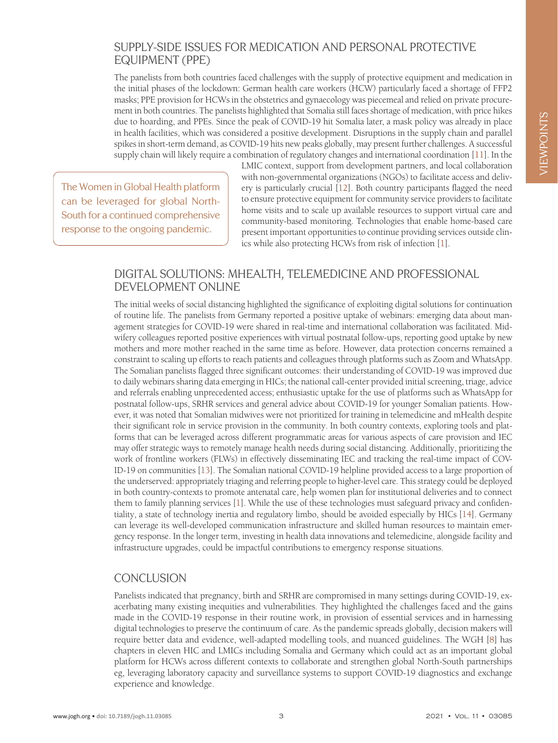#### SUPPLY-SIDE ISSUES FOR MEDICATION AND PERSONAL PROTECTIVE EQUIPMENT (PPE)

The panelists from both countries faced challenges with the supply of protective equipment and medication in the initial phases of the lockdown: German health care workers (HCW) particularly faced a shortage of FFP2 masks; PPE provision for HCWs in the obstetrics and gynaecology was piecemeal and relied on private procurement in both countries. The panelists highlighted that Somalia still faces shortage of medication, with price hikes due to hoarding, and PPEs. Since the peak of COVID-19 hit Somalia later, a mask policy was already in place in health facilities, which was considered a positive development. Disruptions in the supply chain and parallel spikes in short-term demand, as COVID-19 hits new peaks globally, may present further challenges. A successful supply chain will likely require a combination of regulatory changes and international coordination [[11\]](#page-3-10). In the

The Women in Global Health platform can be leveraged for global North-South for a continued comprehensive response to the ongoing pandemic.

LMIC context, support from development partners, and local collaboration with non-governmental organizations (NGOs) to facilitate access and delivery is particularly crucial [\[12](#page-3-11)]. Both country participants flagged the need to ensure protective equipment for community service providers to facilitate home visits and to scale up available resources to support virtual care and community-based monitoring. Technologies that enable home-based care present important opportunities to continue providing services outside clinics while also protecting HCWs from risk of infection [[1\]](#page-3-0).

## DIGITAL SOLUTIONS: MHEALTH, TELEMEDICINE AND PROFESSIONAL DEVELOPMENT ONLINE

The initial weeks of social distancing highlighted the significance of exploiting digital solutions for continuation of routine life. The panelists from Germany reported a positive uptake of webinars: emerging data about management strategies for COVID-19 were shared in real-time and international collaboration was facilitated. Midwifery colleagues reported positive experiences with virtual postnatal follow-ups, reporting good uptake by new mothers and more mother reached in the same time as before. However, data protection concerns remained a constraint to scaling up efforts to reach patients and colleagues through platforms such as Zoom and WhatsApp. The Somalian panelists flagged three significant outcomes: their understanding of COVID-19 was improved due to daily webinars sharing data emerging in HICs; the national call-center provided initial screening, triage, advice and referrals enabling unprecedented access; enthusiastic uptake for the use of platforms such as WhatsApp for postnatal follow-ups, SRHR services and general advice about COVID-19 for younger Somalian patients. However, it was noted that Somalian midwives were not prioritized for training in telemedicine and mHealth despite their significant role in service provision in the community. In both country contexts, exploring tools and platforms that can be leveraged across different programmatic areas for various aspects of care provision and IEC may offer strategic ways to remotely manage health needs during social distancing. Additionally, prioritizing the work of frontline workers (FLWs) in effectively disseminating IEC and tracking the real-time impact of COV-ID-19 on communities [\[13](#page-3-12)]. The Somalian national COVID-19 helpline provided access to a large proportion of the underserved: appropriately triaging and referring people to higher-level care. This strategy could be deployed in both country-contexts to promote antenatal care, help women plan for institutional deliveries and to connect them to family planning services [\[1\]](#page-3-0). While the use of these technologies must safeguard privacy and confidentiality, a state of technology inertia and regulatory limbo, should be avoided especially by HICs [\[14](#page-3-13)]. Germany can leverage its well-developed communication infrastructure and skilled human resources to maintain emergency response. In the longer term, investing in health data innovations and telemedicine, alongside facility and infrastructure upgrades, could be impactful contributions to emergency response situations.

## **CONCLUSION**

Panelists indicated that pregnancy, birth and SRHR are compromised in many settings during COVID-19, exacerbating many existing inequities and vulnerabilities. They highlighted the challenges faced and the gains made in the COVID-19 response in their routine work, in provision of essential services and in harnessing digital technologies to preserve the continuum of care. As the pandemic spreads globally, decision makers will require better data and evidence, well-adapted modelling tools, and nuanced guidelines. The WGH [[8\]](#page-3-7) has chapters in eleven HIC and LMICs including Somalia and Germany which could act as an important global platform for HCWs across different contexts to collaborate and strengthen global North-South partnerships eg, leveraging laboratory capacity and surveillance systems to support COVID-19 diagnostics and exchange experience and knowledge.